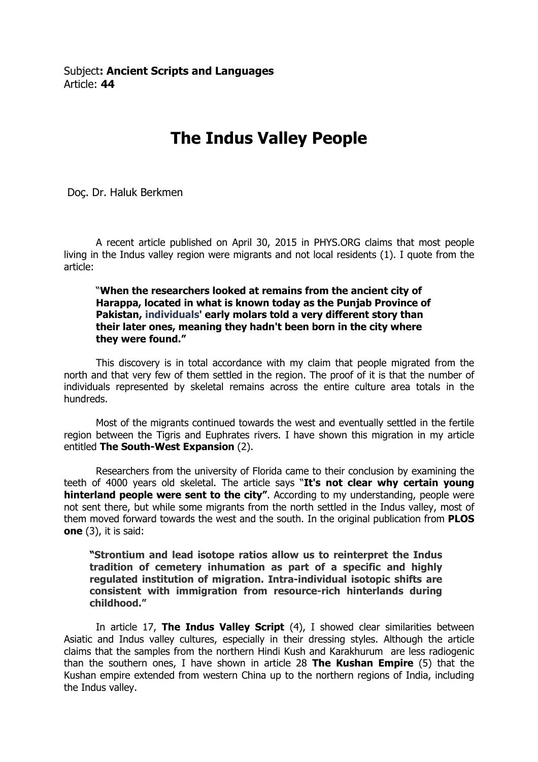## The Indus Valley People

Doç. Dr. Haluk Berkmen

 A recent article published on April 30, 2015 in PHYS.ORG claims that most people living in the Indus valley region were migrants and not local residents (1). I quote from the article:

"When the researchers looked at remains from the ancient city of Harappa, located in what is known today as the Punjab Province of Pakistan, individuals' early molars told a very different story than their later ones, meaning they hadn't been born in the city where they were found."

This discovery is in total accordance with my claim that people migrated from the north and that very few of them settled in the region. The proof of it is that the number of individuals represented by skeletal remains across the entire culture area totals in the hundreds.

 Most of the migrants continued towards the west and eventually settled in the fertile region between the Tigris and Euphrates rivers. I have shown this migration in my article entitled The South-West Expansion (2).

Researchers from the university of Florida came to their conclusion by examining the teeth of 4000 years old skeletal. The article says "It's not clear why certain young hinterland people were sent to the city". According to my understanding, people were not sent there, but while some migrants from the north settled in the Indus valley, most of them moved forward towards the west and the south. In the original publication from **PLOS** one (3), it is said:

"Strontium and lead isotope ratios allow us to reinterpret the Indus tradition of cemetery inhumation as part of a specific and highly regulated institution of migration. Intra-individual isotopic shifts are consistent with immigration from resource-rich hinterlands during childhood."

In article 17, The Indus Valley Script (4), I showed clear similarities between Asiatic and Indus valley cultures, especially in their dressing styles. Although the article claims that the samples from the northern Hindi Kush and Karakhurum are less radiogenic than the southern ones, I have shown in article 28 The Kushan Empire  $(5)$  that the Kushan empire extended from western China up to the northern regions of India, including the Indus valley.